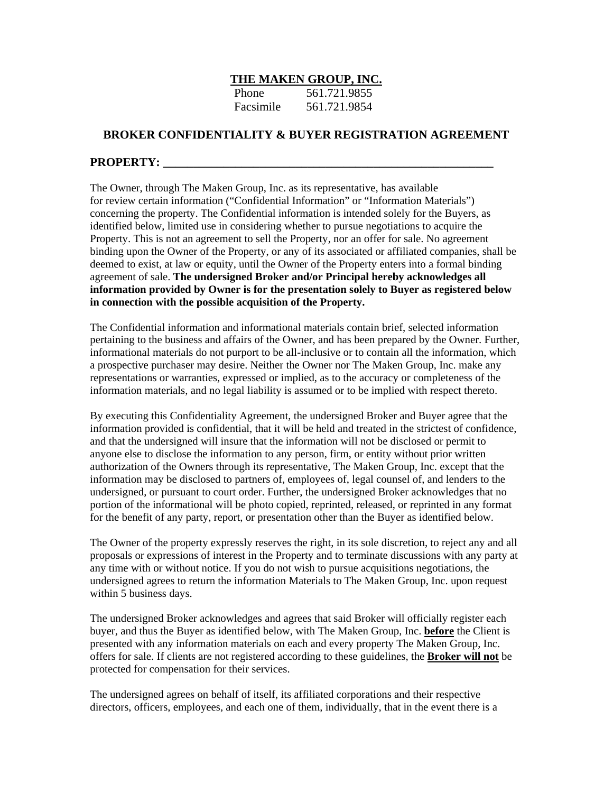## **THE MAKEN GROUP, INC.**

| <b>Phone</b> | 561.721.9855 |
|--------------|--------------|
| Facsimile    | 561.721.9854 |

## **BROKER CONFIDENTIALITY & BUYER REGISTRATION AGREEMENT**

## **PROPERTY:**

The Owner, through The Maken Group, Inc. as its representative, has available for review certain information ("Confidential Information" or "Information Materials") concerning the property. The Confidential information is intended solely for the Buyers, as identified below, limited use in considering whether to pursue negotiations to acquire the Property. This is not an agreement to sell the Property, nor an offer for sale. No agreement binding upon the Owner of the Property, or any of its associated or affiliated companies, shall be deemed to exist, at law or equity, until the Owner of the Property enters into a formal binding agreement of sale. **The undersigned Broker and/or Principal hereby acknowledges all information provided by Owner is for the presentation solely to Buyer as registered below in connection with the possible acquisition of the Property.**

The Confidential information and informational materials contain brief, selected information pertaining to the business and affairs of the Owner, and has been prepared by the Owner. Further, informational materials do not purport to be all-inclusive or to contain all the information, which a prospective purchaser may desire. Neither the Owner nor The Maken Group, Inc. make any representations or warranties, expressed or implied, as to the accuracy or completeness of the information materials, and no legal liability is assumed or to be implied with respect thereto.

By executing this Confidentiality Agreement, the undersigned Broker and Buyer agree that the information provided is confidential, that it will be held and treated in the strictest of confidence, and that the undersigned will insure that the information will not be disclosed or permit to anyone else to disclose the information to any person, firm, or entity without prior written authorization of the Owners through its representative, The Maken Group, Inc. except that the information may be disclosed to partners of, employees of, legal counsel of, and lenders to the undersigned, or pursuant to court order. Further, the undersigned Broker acknowledges that no portion of the informational will be photo copied, reprinted, released, or reprinted in any format for the benefit of any party, report, or presentation other than the Buyer as identified below.

The Owner of the property expressly reserves the right, in its sole discretion, to reject any and all proposals or expressions of interest in the Property and to terminate discussions with any party at any time with or without notice. If you do not wish to pursue acquisitions negotiations, the undersigned agrees to return the information Materials to The Maken Group, Inc. upon request within 5 business days.

The undersigned Broker acknowledges and agrees that said Broker will officially register each buyer, and thus the Buyer as identified below, with The Maken Group, Inc. **before** the Client is presented with any information materials on each and every property The Maken Group, Inc. offers for sale. If clients are not registered according to these guidelines, the **Broker will not** be protected for compensation for their services.

The undersigned agrees on behalf of itself, its affiliated corporations and their respective directors, officers, employees, and each one of them, individually, that in the event there is a